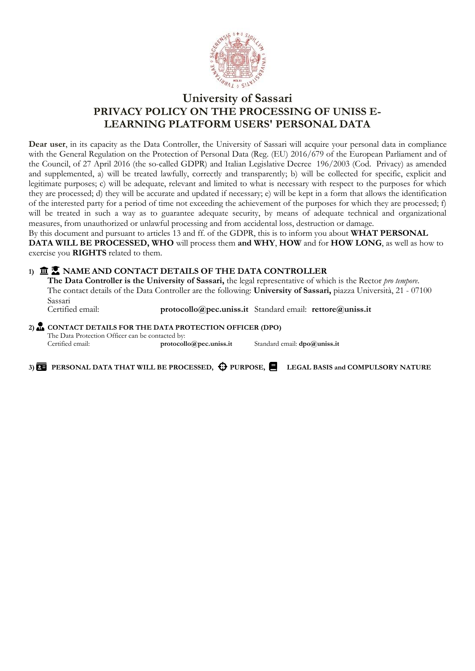

# **University of Sassari PRIVACY POLICY ON THE PROCESSING OF UNISS E-LEARNING PLATFORM USERS' PERSONAL DATA**

**Dear user**, in its capacity as the Data Controller, the University of Sassari will acquire your personal data in compliance with the General Regulation on the Protection of Personal Data (Reg. (EU) 2016/679 of the European Parliament and of the Council, of 27 April 2016 (the so-called GDPR) and Italian Legislative Decree 196/2003 (Cod. Privacy) as amended and supplemented, a) will be treated lawfully, correctly and transparently; b) will be collected for specific, explicit and legitimate purposes; c) will be adequate, relevant and limited to what is necessary with respect to the purposes for which they are processed; d) they will be accurate and updated if necessary; e) will be kept in a form that allows the identification of the interested party for a period of time not exceeding the achievement of the purposes for which they are processed; f) will be treated in such a way as to guarantee adequate security, by means of adequate technical and organizational measures, from unauthorized or unlawful processing and from accidental loss, destruction or damage.

By this document and pursuant to articles 13 and ff. of the GDPR, this is to inform you about **WHAT PERSONAL DATA WILL BE PROCESSED, WHO** will process them **and WHY**, **HOW** and for **HOW LONG**, as well as how to exercise you **RIGHTS** related to them.

## **1) NAME AND CONTACT DETAILS OF THE DATA CONTROLLER**

**The Data Controller is the University of Sassari,** the legal representative of which is the Rector *pro tempore*. The contact details of the Data Controller are the following: **University of Sassari,** piazza Università, 21 - 07100 Sassari<br>Certified email:

[protocollo@pec.uniss.it](mailto:protocol@pec.uniss.it) Standard email: **[rettore@uniss.it](mailto:rettore@uniss.it)** 

**2) CONTACT DETAILS FOR THE DATA PROTECTION OFFICER (DPO)**

The Data Protection Officer can be contacted by:<br>Certified email: protocollo@pec.uniss.it Standard email: **[dpo@uniss.it](mailto:dpo@uniss.it)** 

3) **<b>20** PERSONAL DATA THAT WILL BE PROCESSED,  $\bigoplus$  PURPOSE, LEGAL BASIS and COMPULSORY NATURE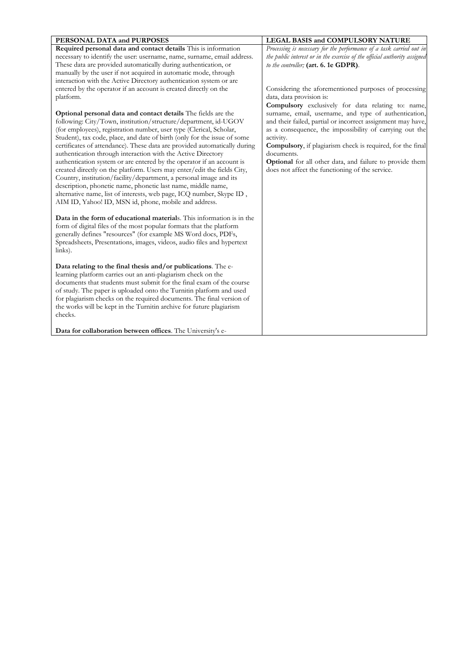| PERSONAL DATA and PURPOSES                                                | LEGAL BASIS and COMPULSORY NATURE                                         |
|---------------------------------------------------------------------------|---------------------------------------------------------------------------|
| Required personal data and contact details This is information            | Processing is necessary for the performance of a task carried out in      |
| necessary to identify the user: username, name, surname, email address.   | the public interest or in the exercise of the official authority assigned |
| These data are provided automatically during authentication, or           | to the controller; (art. 6. 1e GDPR).                                     |
| manually by the user if not acquired in automatic mode, through           |                                                                           |
| interaction with the Active Directory authentication system or are        |                                                                           |
| entered by the operator if an account is created directly on the          | Considering the aforementioned purposes of processing                     |
| platform.                                                                 | data, data provision is:                                                  |
|                                                                           | Compulsory exclusively for data relating to: name,                        |
| <b>Optional personal data and contact details</b> The fields are the      | surname, email, username, and type of authentication,                     |
| following: City/Town, institution/structure/department, id-UGOV           | and their failed, partial or incorrect assignment may have,               |
| (for employees), registration number, user type (Clerical, Scholar,       | as a consequence, the impossibility of carrying out the                   |
| Student), tax code, place, and date of birth (only for the issue of some  | activity.                                                                 |
| certificates of attendance). These data are provided automatically during | <b>Compulsory</b> , if plagiarism check is required, for the final        |
| authentication through interaction with the Active Directory              | documents.                                                                |
| authentication system or are entered by the operator if an account is     | Optional for all other data, and failure to provide them                  |
| created directly on the platform. Users may enter/edit the fields City,   | does not affect the functioning of the service.                           |
| Country, institution/facility/department, a personal image and its        |                                                                           |
| description, phonetic name, phonetic last name, middle name,              |                                                                           |
| alternative name, list of interests, web page, ICQ number, Skype ID,      |                                                                           |
| AIM ID, Yahoo! ID, MSN id, phone, mobile and address.                     |                                                                           |
|                                                                           |                                                                           |
| Data in the form of educational materials. This information is in the     |                                                                           |
| form of digital files of the most popular formats that the platform       |                                                                           |
| generally defines "resources" (for example MS Word docs, PDFs,            |                                                                           |
| Spreadsheets, Presentations, images, videos, audio files and hypertext    |                                                                           |
| links).                                                                   |                                                                           |
|                                                                           |                                                                           |
| Data relating to the final thesis and/or publications. The e-             |                                                                           |
| learning platform carries out an anti-plagiarism check on the             |                                                                           |
| documents that students must submit for the final exam of the course      |                                                                           |
| of study. The paper is uploaded onto the Turnitin platform and used       |                                                                           |
| for plagiarism checks on the required documents. The final version of     |                                                                           |
| the works will be kept in the Turnitin archive for future plagiarism      |                                                                           |
| checks.                                                                   |                                                                           |
| Data for collaboration between offices. The University's e-               |                                                                           |
|                                                                           |                                                                           |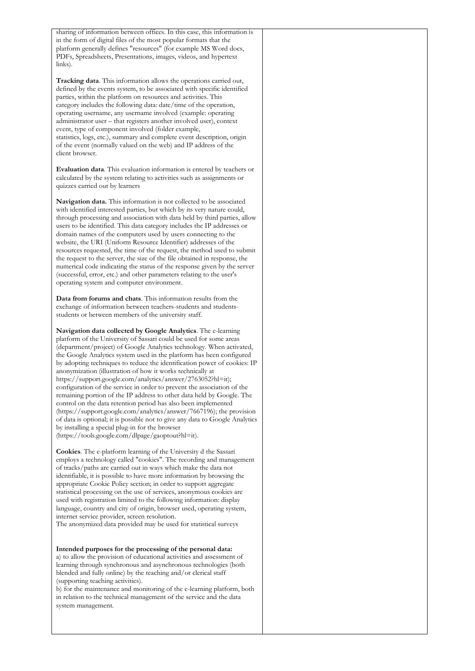sharing of information between offices. In this case, this information is in the form of digital files of the most popular formats that the platform generally defines "resources" (for example MS Word docs, PDFs, Spreadsheets, Presentations, images, videos, and hypertext links).

**Tracking data**. This information allows the operations carried out, defined by the events system, to be associated with specific identified parties, within the platform on resources and activities. This category includes the following data: date/time of the operation, operating username, any username involved (example: operating administrator user – that registers another involved user), context event, type of component involved (folder example, statistics, logs, etc.), summary and complete event description, origin of the event (normally valued on the web) and IP address of the client browser.

**Evaluation data**. This evaluation information is entered by teachers or calculated by the system relating to activities such as assignments or quizzes carried out by learners

**Navigation data.** This information is not collected to be associated with identified interested parties, but which by its very nature could, through processing and association with data held by third parties, allow users to be identified. This data category includes the IP addresses or domain names of the computers used by users connecting to the website, the URI (Uniform Resource Identifier) addresses of the resources requested, the time of the request, the method used to submit the request to the server, the size of the file obtained in response, the numerical code indicating the status of the response given by the server (successful, error, etc.) and other parameters relating to the user's operating system and computer environment.

**Data from forums and chats**. This information results from the exchange of information between teachers-students and studentsstudents or between members of the university staff.

**Navigation data collected by Google Analytics**. The e-learning platform of the University of Sassari could be used for some areas (department/project) of Google Analytics technology. When activated, the Google Analytics system used in the platform has been configured by adopting techniques to reduce the identification power of cookies: IP anonymization (illustration of how it works technically at https://support.google.com/analytics/answer/2763052?hl=it); configuration of the service in order to prevent the association of the remaining portion of the IP address to other data held by Google. The control on the data retention period has also been implemented (https://support.google.com/analytics/answer/7667196); the provision of data is optional; it is possible not to give any data to Google Analytics by installing a special plug-in for the browser (https://tools.google.com/dlpage/gaoptout?hl=it).

**Cookies**. The e-platform learning of the University d the Sassari employs a technology called "cookies". The recording and management of tracks/paths are carried out in ways which make the data not identifiable, it is possible to have more information by browsing the appropriate Cookie Policy section; in order to support aggregate statistical processing on the use of services, anonymous cookies are used with registration limited to the following information: display language, country and city of origin, browser used, operating system, internet service provider, screen resolution.

The anonymized data provided may be used for statistical surveys

**Intended purposes for the processing of the personal data:** a) to allow the provision of educational activities and assessment of learning through synchronous and asynchronous technologies (both blended and fully online) by the teaching and/or clerical staff (supporting teaching activities).

b) for the maintenance and monitoring of the e-learning platform, both in relation to the technical management of the service and the data system management.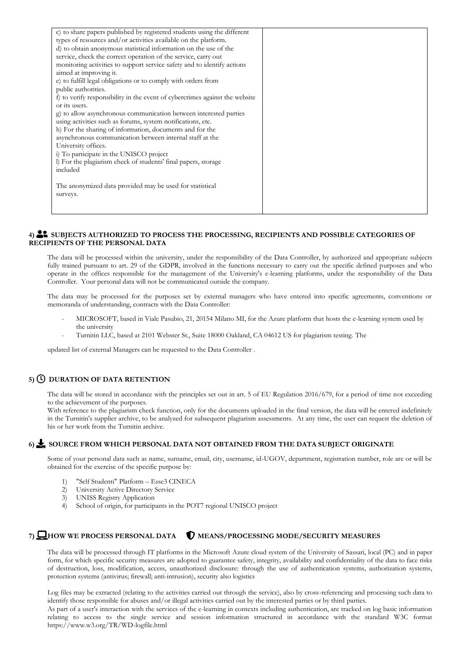| c) to share papers published by registered students using the different     |  |
|-----------------------------------------------------------------------------|--|
| types of resources and/or activities available on the platform.             |  |
| d) to obtain anonymous statistical information on the use of the            |  |
| service, check the correct operation of the service, carry out              |  |
| monitoring activities to support service safety and to identify actions     |  |
| aimed at improving it.                                                      |  |
| e) to fulfill legal obligations or to comply with orders from               |  |
| public authorities.                                                         |  |
| f) to verify responsibility in the event of cybercrimes against the website |  |
| or its users.                                                               |  |
| g) to allow asynchronous communication between interested parties           |  |
| using activities such as forums, system notifications, etc.                 |  |
| h) For the sharing of information, documents and for the                    |  |
| asynchronous communication between internal staff at the                    |  |
| University offices.                                                         |  |
| i) To participate in the UNISCO project                                     |  |
| I) For the plagiarism check of students' final papers, storage              |  |
| included                                                                    |  |
|                                                                             |  |
| The anonymized data provided may be used for statistical                    |  |
| surveys.                                                                    |  |
|                                                                             |  |
|                                                                             |  |

### **4) SUBJECTS AUTHORIZED TO PROCESS THE PROCESSING, RECIPIENTS AND POSSIBLE CATEGORIES OF RECIPIENTS OF THE PERSONAL DATA**

The data will be processed within the university, under the responsibility of the Data Controller, by authorized and appropriate subjects fully trained pursuant to art. 29 of the GDPR, involved in the functions necessary to carry out the specific defined purposes and who operate in the offices responsible for the management of the University's e-learning platforms, under the responsibility of the Data Controller. Your personal data will not be communicated outside the company.

The data may be processed for the purposes set by external managers who have entered into specific agreements, conventions or memoranda of understanding, contracts with the Data Controller:

- MICROSOFT, based in Viale Pasubio, 21, 20154 Milano MI, for the Azure platform that hosts the e-learning system used by the university
- Turnitin LLC, based at 2101 Webster St., Suite 18000 Oakland, CA 04612 US for plagiarism testing. The

updated list of external Managers can be requested to the Data Controller .

### **5) DURATION OF DATA RETENTION**

The data will be stored in accordance with the principles set out in art. 5 of EU Regulation 2016/679, for a period of time not exceeding to the achievement of the purposes.

With reference to the plagiarism check function, only for the documents uploaded in the final version, the data will be entered indefinitely in the Turnitin's supplier archive, to be analyzed for subsequent plagiarism assessments. At any time, the user can request the deletion of his or her work from the Turnitin archive.

### **6) SOURCE FROM WHICH PERSONAL DATA NOT OBTAINED FROM THE DATA SUBJECT ORIGINATE**

Some of your personal data such as name, surname, email, city, username, id-UGOV, department, registration number, role are or will be obtained for the exercise of the specific purpose by:

- 1) "Self Studenti" Platform Esse3 CINECA
- 2) University Active Directory Service
- 3) UNISS Registry Application<br>4) School of origin for particip
- School of origin, for participants in the POT7 regional UNISCO project

# 7) **HOW WE PROCESS PERSONAL DATA V** MEANS/PROCESSING MODE/SECURITY MEASURES

The data will be processed through IT platforms in the Microsoft Azure cloud system of the University of Sassari, local (PC) and in paper form, for which specific security measures are adopted to guarantee safety, integrity, availability and confidentiality of the data to face risks of destruction, loss, modification, access, unauthorized disclosure: through the use of authentication systems, authorization systems, protection systems (antivirus; firewall; anti-intrusion), security also logistics

Log files may be extracted (relating to the activities carried out through the service), also by cross-referencing and processing such data to identify those responsible for abuses and/or illegal activities carried out by the interested parties or by third parties.

As part of a user's interaction with the services of the e-learning in contexts including authentication, are tracked on log basic information relating to access to the single service and session information structured in accordance with the standard W3C forma[t](http://www.w3.org/TR/WD-logfile.html) [https://www.w3.org/TR/WD-logfile.html](http://www.w3.org/TR/WD-logfile.html)